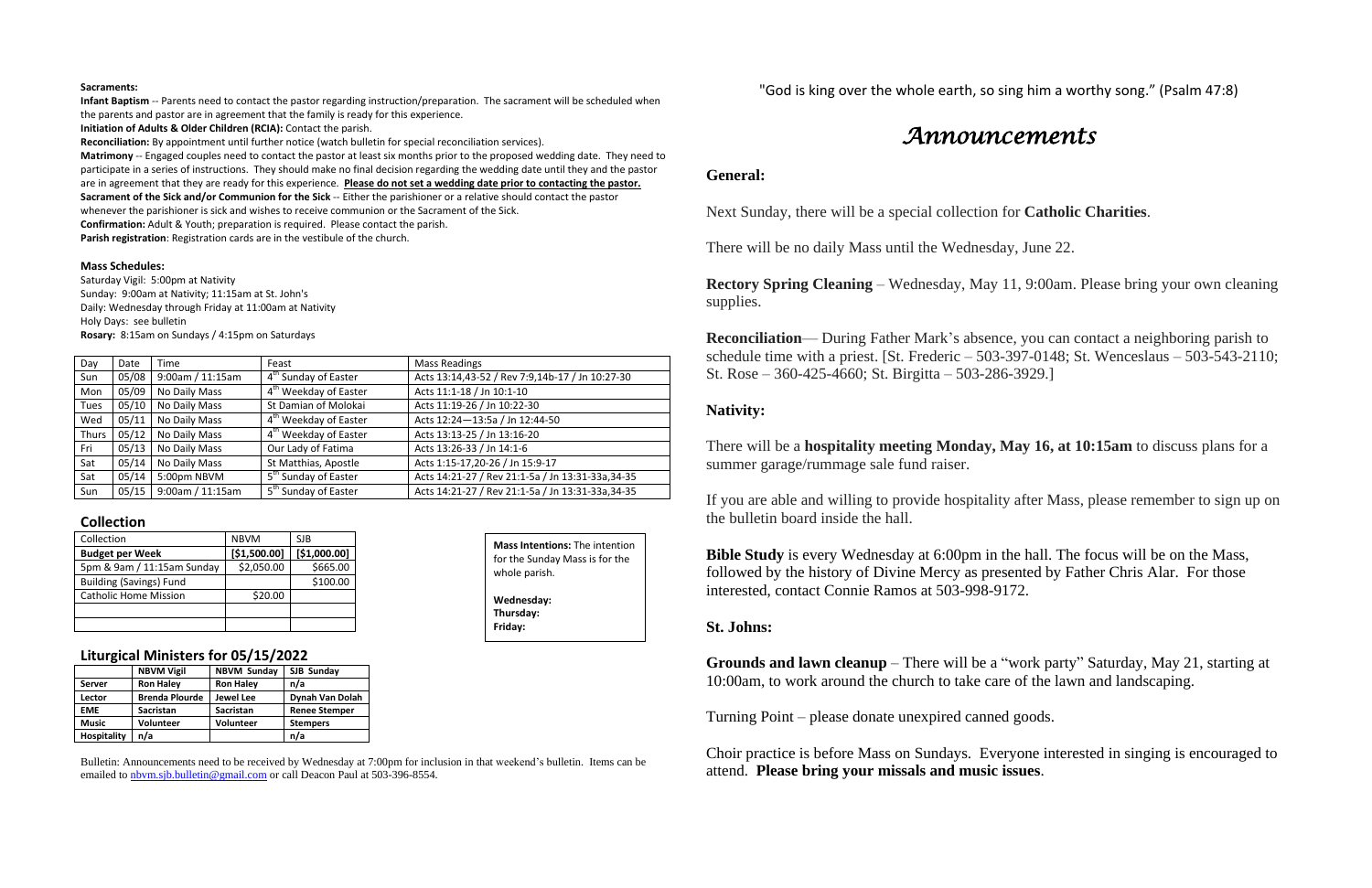### **Sacraments:**

**Infant Baptism** -- Parents need to contact the pastor regarding instruction/preparation. The sacrament will be scheduled when the parents and pastor are in agreement that the family is ready for this experience.

**Initiation of Adults & Older Children (RCIA):** Contact the parish.

**Reconciliation:** By appointment until further notice (watch bulletin for special reconciliation services).

**Matrimony** -- Engaged couples need to contact the pastor at least six months prior to the proposed wedding date. They need to participate in a series of instructions. They should make no final decision regarding the wedding date until they and the pastor are in agreement that they are ready for this experience. **Please do not set a wedding date prior to contacting the pastor. Sacrament of the Sick and/or Communion for the Sick** -- Either the parishioner or a relative should contact the pastor whenever the parishioner is sick and wishes to receive communion or the Sacrament of the Sick. **Confirmation:** Adult & Youth; preparation is required. Please contact the parish.

**Parish registration**: Registration cards are in the vestibule of the church.

### **Mass Schedules:**

Saturday Vigil: 5:00pm at Nativity Sunday: 9:00am at Nativity; 11:15am at St. John's Daily: Wednesday through Friday at 11:00am at Nativity Holy Days: see bulletin **Rosary:** 8:15am on Sundays / 4:15pm on Saturdays

**Reconciliation**— During Father Mark's absence, you can contact a neighboring parish to schedule time with a priest. [St. Frederic – 503-397-0148; St. Wenceslaus – 503-543-2110; St. Rose – 360-425-4660; St. Birgitta – 503-286-3929.]

| Day   | Date  | <b>Time</b>      | Feast                             | <b>Mass Readings</b>                             |
|-------|-------|------------------|-----------------------------------|--------------------------------------------------|
| Sun   | 05/08 | 9:00am / 11:15am | 4 <sup>th</sup> Sunday of Easter  | Acts 13:14,43-52 / Rev 7:9,14b-17 / Jn 10:27-30  |
| Mon   | 05/09 | No Daily Mass    | 4 <sup>th</sup> Weekday of Easter | Acts 11:1-18 / Jn 10:1-10                        |
| Tues  | 05/10 | No Daily Mass    | St Damian of Molokai              | Acts 11:19-26 / Jn 10:22-30                      |
| Wed   | 05/11 | No Daily Mass    | 4 <sup>th</sup> Weekday of Easter | Acts 12:24-13:5a / Jn 12:44-50                   |
| Thurs | 05/12 | No Daily Mass    | 4 <sup>th</sup> Weekday of Easter | Acts 13:13-25 / Jn 13:16-20                      |
| Fri   | 05/13 | No Daily Mass    | Our Lady of Fatima                | Acts 13:26-33 / Jn 14:1-6                        |
| Sat   | 05/14 | No Daily Mass    | St Matthias, Apostle              | Acts 1:15-17,20-26 / Jn 15:9-17                  |
| Sat   | 05/14 | 5:00pm NBVM      | 5 <sup>th</sup> Sunday of Easter  | Acts 14:21-27 / Rev 21:1-5a / Jn 13:31-33a,34-35 |
| Sun   | 05/15 | 9:00am / 11:15am | 5 <sup>th</sup> Sunday of Easter  | Acts 14:21-27 / Rev 21:1-5a / Jn 13:31-33a,34-35 |

**Bible Study** is every Wednesday at 6:00pm in the hall. The focus will be on the Mass, followed by the history of Divine Mercy as presented by Father Chris Alar. For those interested, contact Connie Ramos at 503-998-9172.

### **Collection**

| Collection                     | <b>NBVM</b>  | <b>SJB</b>   |
|--------------------------------|--------------|--------------|
| <b>Budget per Week</b>         | [\$1,500.00] | [\$1,000.00] |
| 5pm & 9am / 11:15am Sunday     | \$2,050.00   | \$665.00     |
| <b>Building (Savings) Fund</b> |              | \$100.00     |
| <b>Catholic Home Mission</b>   | \$20.00      |              |
|                                |              |              |
|                                |              |              |

## **Liturgical Ministers for 05/15/2022**

|                    | <b>NBVM Vigil</b>     | <b>NBVM Sunday</b> | SJB Sunday           |
|--------------------|-----------------------|--------------------|----------------------|
| Server             | <b>Ron Haley</b>      | <b>Ron Haley</b>   | n/a                  |
| Lector             | <b>Brenda Plourde</b> | Jewel Lee          | Dynah Van Dolah      |
| <b>EME</b>         | <b>Sacristan</b>      | <b>Sacristan</b>   | <b>Renee Stemper</b> |
| <b>Music</b>       | <b>Volunteer</b>      | <b>Volunteer</b>   | <b>Stempers</b>      |
| <b>Hospitality</b> | n/a                   |                    | n/a                  |

Bulletin: Announcements need to be received by Wednesday at 7:00pm for inclusion in that weekend's bulletin. Items can be emailed to [nbvm.sjb.bulletin@gmail.com](mailto:nbvm.sjb.bulletin@gmail.com) or call Deacon Paul at 503-396-8554.

"God is king over the whole earth, so sing him a worthy song." (Psalm 47:8)

# *Announcements*

## **General:**

Next Sunday, there will be a special collection for **Catholic Charities**.

There will be no daily Mass until the Wednesday, June 22.

**Rectory Spring Cleaning** – Wednesday, May 11, 9:00am. Please bring your own cleaning supplies.

## **Nativity:**

## There will be a **hospitality meeting Monday, May 16, at 10:15am** to discuss plans for a

summer garage/rummage sale fund raiser.

If you are able and willing to provide hospitality after Mass, please remember to sign up on the bulletin board inside the hall.

## **St. Johns:**

**Grounds and lawn cleanup** – There will be a "work party" Saturday, May 21, starting at 10:00am, to work around the church to take care of the lawn and landscaping.

Turning Point – please donate unexpired canned goods.

Choir practice is before Mass on Sundays. Everyone interested in singing is encouraged to attend. **Please bring your missals and music issues**.

**Mass Intentions:** The intention for the Sunday Mass is for the

whole parish.

**Wednesday: Thursday: Friday:**